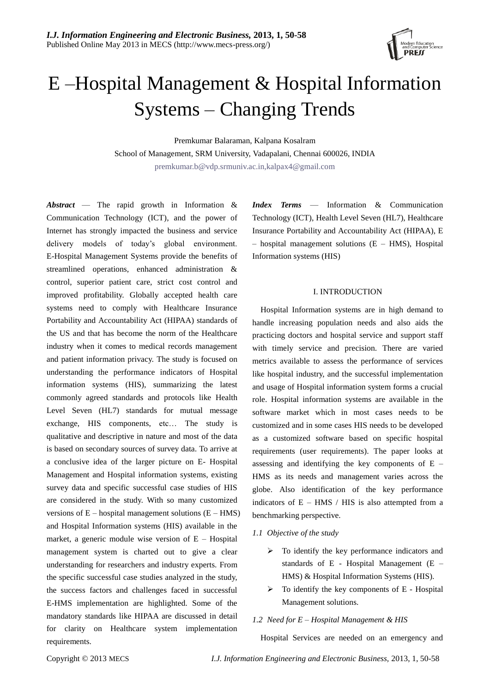

# E –Hospital Management & Hospital Information Systems – Changing Trends

Premkumar Balaraman, Kalpana Kosalram School of Management, SRM University, Vadapalani, Chennai 600026, INDIA [premkumar.b@vdp.srmuniv.ac.in,kalpax4@gmail.com](mailto:premkumar.b@vdp.srmuniv.ac.in,kalpax4@gmail.com)

*Abstract* — The rapid growth in Information & Communication Technology (ICT), and the power of Internet has strongly impacted the business and service delivery models of today's global environment. E-Hospital Management Systems provide the benefits of streamlined operations, enhanced administration & control, superior patient care, strict cost control and improved profitability. Globally accepted health care systems need to comply with Healthcare Insurance Portability and Accountability Act (HIPAA) standards of the US and that has become the norm of the Healthcare industry when it comes to medical records management and patient information privacy. The study is focused on understanding the performance indicators of Hospital information systems (HIS), summarizing the latest commonly agreed standards and protocols like Health Level Seven (HL7) standards for mutual message exchange, HIS components, etc… The study is qualitative and descriptive in nature and most of the data is based on secondary sources of survey data. To arrive at a conclusive idea of the larger picture on E- Hospital Management and Hospital information systems, existing survey data and specific successful case studies of HIS are considered in the study. With so many customized versions of  $E$  – hospital management solutions  $(E - HMS)$ and Hospital Information systems (HIS) available in the market, a generic module wise version of E – Hospital management system is charted out to give a clear understanding for researchers and industry experts. From the specific successful case studies analyzed in the study, the success factors and challenges faced in successful E-HMS implementation are highlighted. Some of the mandatory standards like HIPAA are discussed in detail for clarity on Healthcare system implementation requirements.

*Index Terms* — Information & Communication Technology (ICT), Health Level Seven (HL7), Healthcare Insurance Portability and Accountability Act (HIPAA), E – hospital management solutions (E – HMS), Hospital Information systems (HIS)

## I. INTRODUCTION

Hospital Information systems are in high demand to handle increasing population needs and also aids the practicing doctors and hospital service and support staff with timely service and precision. There are varied metrics available to assess the performance of services like hospital industry, and the successful implementation and usage of Hospital information system forms a crucial role. Hospital information systems are available in the software market which in most cases needs to be customized and in some cases HIS needs to be developed as a customized software based on specific hospital requirements (user requirements). The paper looks at assessing and identifying the key components of E – HMS as its needs and management varies across the globe. Also identification of the key performance indicators of  $E - HMS / HIS$  is also attempted from a benchmarking perspective.

#### *1.1 Objective of the study*

- $\triangleright$  To identify the key performance indicators and standards of E - Hospital Management (E – HMS) & Hospital Information Systems (HIS).
- $\triangleright$  To identify the key components of E Hospital Management solutions.

#### *1.2 Need for E – Hospital Management & HIS*

Hospital Services are needed on an emergency and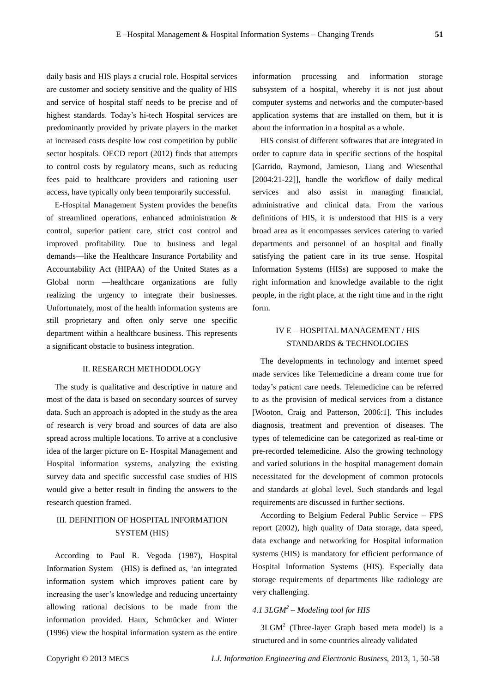daily basis and HIS plays a crucial role. Hospital services are customer and society sensitive and the quality of HIS and service of hospital staff needs to be precise and of highest standards. Today's hi-tech Hospital services are predominantly provided by private players in the market at increased costs despite low cost competition by public sector hospitals. OECD report (2012) finds that attempts to control costs by regulatory means, such as reducing fees paid to healthcare providers and rationing user access, have typically only been temporarily successful.

E-Hospital Management System provides the benefits of streamlined operations, enhanced administration & control, superior patient care, strict cost control and improved profitability. Due to business and legal demands—like the Healthcare Insurance Portability and Accountability Act (HIPAA) of the United States as a Global norm —healthcare organizations are fully realizing the urgency to integrate their businesses. Unfortunately, most of the health information systems are still proprietary and often only serve one specific department within a healthcare business. This represents a significant obstacle to business integration.

## II. RESEARCH METHODOLOGY

The study is qualitative and descriptive in nature and most of the data is based on secondary sources of survey data. Such an approach is adopted in the study as the area of research is very broad and sources of data are also spread across multiple locations. To arrive at a conclusive idea of the larger picture on E- Hospital Management and Hospital information systems, analyzing the existing survey data and specific successful case studies of HIS would give a better result in finding the answers to the research question framed.

# III. DEFINITION OF HOSPITAL INFORMATION SYSTEM (HIS)

According to Paul R. Vegoda (1987), Hospital Information System (HIS) is defined as, 'an integrated information system which improves patient care by increasing the user's knowledge and reducing uncertainty allowing rational decisions to be made from the information provided. Haux, Schmücker and Winter (1996) view the hospital information system as the entire

information processing and information storage subsystem of a hospital, whereby it is not just about computer systems and networks and the computer-based application systems that are installed on them, but it is about the information in a hospital as a whole.

HIS consist of different softwares that are integrated in order to capture data in specific sections of the hospital [Garrido, Raymond, Jamieson, Liang and Wiesenthal [2004:21-22]], handle the workflow of daily medical services and also assist in managing financial, administrative and clinical data. From the various definitions of HIS, it is understood that HIS is a very broad area as it encompasses services catering to varied departments and personnel of an hospital and finally satisfying the patient care in its true sense. Hospital Information Systems (HISs) are supposed to make the right information and knowledge available to the right people, in the right place, at the right time and in the right form.

# IV E – HOSPITAL MANAGEMENT / HIS STANDARDS & TECHNOLOGIES

The developments in technology and internet speed made services like Telemedicine a dream come true for today's patient care needs. Telemedicine can be referred to as the provision of medical services from a distance [Wooton, Craig and Patterson, 2006:1]. This includes diagnosis, treatment and prevention of diseases. The types of telemedicine can be categorized as real-time or pre-recorded telemedicine. Also the growing technology and varied solutions in the hospital management domain necessitated for the development of common protocols and standards at global level. Such standards and legal requirements are discussed in further sections.

According to Belgium Federal Public Service – FPS report (2002), high quality of Data storage, data speed, data exchange and networking for Hospital information systems (HIS) is mandatory for efficient performance of Hospital Information Systems (HIS). Especially data storage requirements of departments like radiology are very challenging.

# *4.1 3LGM<sup>2</sup> – Modeling tool for HIS*

 $3LGM<sup>2</sup>$  (Three-layer Graph based meta model) is a structured and in some countries already validated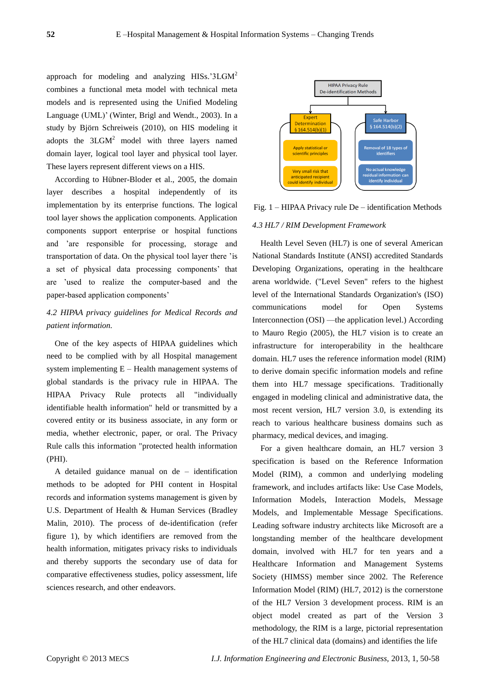approach for modeling and analyzing HISs.'3LGM<sup>2</sup> combines a functional meta model with technical meta models and is represented using the Unified Modeling Language (UML)' (Winter, Brigl and Wendt., 2003). In a study by Björn Schreiweis (2010), on HIS modeling it adopts the  $3LGM<sup>2</sup>$  model with three layers named domain layer, logical tool layer and physical tool layer. These layers represent different views on a HIS.

According to Hübner-Bloder et al., 2005, the domain layer describes a hospital independently of its implementation by its enterprise functions. The logical tool layer shows the application components. Application components support enterprise or hospital functions and 'are responsible for processing, storage and transportation of data. On the physical tool layer there 'is a set of physical data processing components' that are 'used to realize the computer-based and the paper-based application components'

# *4.2 HIPAA privacy guidelines for Medical Records and patient information.*

One of the key aspects of HIPAA guidelines which need to be complied with by all Hospital management system implementing E – Health management systems of global standards is the privacy rule in HIPAA. The HIPAA Privacy Rule protects all "individually identifiable health information" held or transmitted by a covered entity or its business associate, in any form or media, whether electronic, paper, or oral. The Privacy Rule calls this information "protected health information (PHI).

A detailed guidance manual on de – identification methods to be adopted for PHI content in Hospital records and information systems management is given by U.S. Department of Health & Human Services (Bradley Malin, 2010). The process of de-identification (refer figure 1), by which identifiers are removed from the health information, mitigates privacy risks to individuals and thereby supports the secondary use of data for comparative effectiveness studies, policy assessment, life sciences research, and other endeavors.



Fig. 1 – HIPAA Privacy rule De – identification Methods *4.3 HL7 / RIM Development Framework*

Health Level Seven (HL7) is one of several American National Standards Institute (ANSI) accredited Standards Developing Organizations, operating in the healthcare arena worldwide. ("Level Seven" refers to the highest level of the International Standards Organization's (ISO) communications model for Open Systems Interconnection (OSI) —the application level.) According to Mauro Regio (2005), the HL7 vision is to create an infrastructure for interoperability in the healthcare domain. HL7 uses the reference information model (RIM) to derive domain specific information models and refine them into HL7 message specifications. Traditionally engaged in modeling clinical and administrative data, the most recent version, HL7 version 3.0, is extending its reach to various healthcare business domains such as pharmacy, medical devices, and imaging.

For a given healthcare domain, an HL7 version 3 specification is based on the Reference Information Model (RIM), a common and underlying modeling framework, and includes artifacts like: Use Case Models, Information Models, Interaction Models, Message Models, and Implementable Message Specifications. Leading software industry architects like Microsoft are a longstanding member of the healthcare development domain, involved with HL7 for ten years and a Healthcare Information and Management Systems Society (HIMSS) member since 2002. The Reference Information Model (RIM) (HL7, 2012) is the cornerstone of the HL7 Version 3 development process. RIM is an object model created as part of the Version 3 methodology, the RIM is a large, pictorial representation of the HL7 clinical data (domains) and identifies the life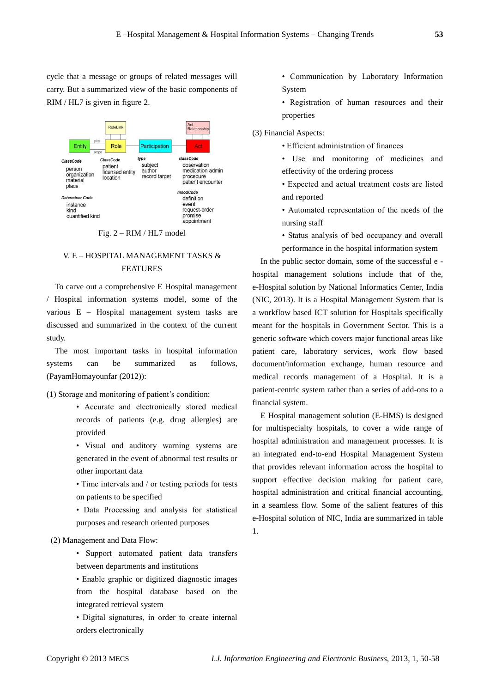cycle that a message or groups of related messages will carry. But a summarized view of the basic components of RIM / HL7 is given in figure 2.



Fig. 2 – RIM / HL7 model

# V. E – HOSPITAL MANAGEMENT TASKS & FEATURES

To carve out a comprehensive E Hospital management / Hospital information systems model, some of the various E – Hospital management system tasks are discussed and summarized in the context of the current study.

The most important tasks in hospital information systems can be summarized as follows, (PayamHomayounfar (2012)):

(1) Storage and monitoring of patient's condition:

- Accurate and electronically stored medical records of patients (e.g. drug allergies) are provided
- Visual and auditory warning systems are generated in the event of abnormal test results or other important data
- Time intervals and / or testing periods for tests on patients to be specified
- Data Processing and analysis for statistical purposes and research oriented purposes

## (2) Management and Data Flow:

- Support automated patient data transfers between departments and institutions
- Enable graphic or digitized diagnostic images from the hospital database based on the integrated retrieval system
- Digital signatures, in order to create internal orders electronically
- Communication by Laboratory Information System
- Registration of human resources and their properties
- (3) Financial Aspects:
	- Efficient administration of finances
	- Use and monitoring of medicines and effectivity of the ordering process
	- Expected and actual treatment costs are listed and reported
	- Automated representation of the needs of the nursing staff
	- Status analysis of bed occupancy and overall performance in the hospital information system

In the public sector domain, some of the successful e hospital management solutions include that of the, e-Hospital solution by National Informatics Center, India (NIC, 2013). It is a Hospital Management System that is a workflow based ICT solution for Hospitals specifically meant for the hospitals in Government Sector. This is a generic software which covers major functional areas like patient care, laboratory services, work flow based document/information exchange, human resource and medical records management of a Hospital. It is a patient-centric system rather than a series of add-ons to a financial system.

E Hospital management solution (E-HMS) is designed for multispecialty hospitals, to cover a wide range of hospital administration and management processes. It is an integrated end-to-end Hospital Management System that provides relevant information across the hospital to support effective decision making for patient care, hospital administration and critical financial accounting, in a seamless flow. Some of the salient features of this e-Hospital solution of NIC, India are summarized in table 1.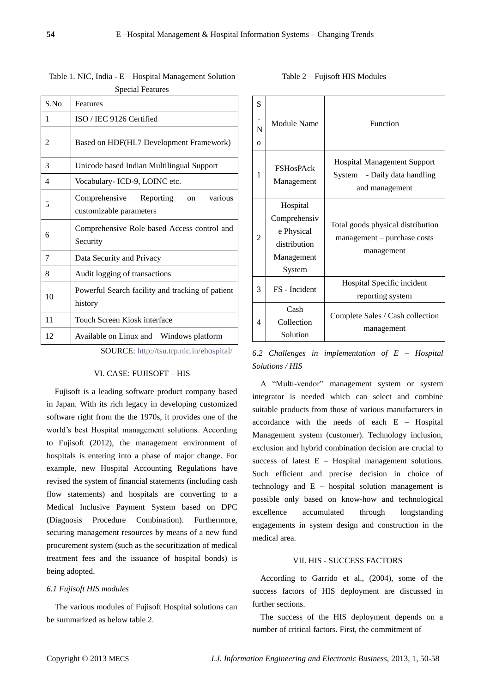| S.No | Features                                                            |  |  |
|------|---------------------------------------------------------------------|--|--|
| 1    | ISO / IEC 9126 Certified                                            |  |  |
| 2    | Based on HDF(HL7 Development Framework)                             |  |  |
| 3    | Unicode based Indian Multilingual Support                           |  |  |
| 4    | Vocabulary- ICD-9, LOINC etc.                                       |  |  |
| 5    | Comprehensive Reporting<br>various<br>on<br>customizable parameters |  |  |
| 6    | Comprehensive Role based Access control and<br>Security             |  |  |
| 7    | Data Security and Privacy                                           |  |  |
| 8    | Audit logging of transactions                                       |  |  |
| 10   | Powerful Search facility and tracking of patient<br>history         |  |  |
| 11   | Touch Screen Kiosk interface                                        |  |  |
| 12   | Available on Linux and Windows platform                             |  |  |

Table 1. NIC, India - E – Hospital Management Solution Special Features

SOURCE: <http://tsu.trp.nic.in/ehospital/>

#### VI. CASE: FUJISOFT – HIS

Fujisoft is a leading software product company based in Japan. With its rich legacy in developing customized software right from the the 1970s, it provides one of the world's best Hospital management solutions. According to Fujisoft (2012), the management environment of hospitals is entering into a phase of major change. For example, new Hospital Accounting Regulations have revised the system of financial statements (including cash flow statements) and hospitals are converting to a Medical Inclusive Payment System based on DPC (Diagnosis Procedure Combination). Furthermore, securing management resources by means of a new fund procurement system (such as the securitization of medical treatment fees and the issuance of hospital bonds) is being adopted.

### *6.1 Fujisoft HIS modules*

The various modules of Fujisoft Hospital solutions can be summarized as below table 2.

| Table 2 – Fujisoft HIS Modules |  |
|--------------------------------|--|
|--------------------------------|--|

| S<br>N<br>$\Omega$ | Module Name                                                                    | Function                                                                                |
|--------------------|--------------------------------------------------------------------------------|-----------------------------------------------------------------------------------------|
| 1                  | <b>FSHosPAck</b><br>Management                                                 | <b>Hospital Management Support</b><br>System<br>- Daily data handling<br>and management |
| 2                  | Hospital<br>Comprehensiv<br>e Physical<br>distribution<br>Management<br>System | Total goods physical distribution<br>management – purchase costs<br>management          |
| 3                  | FS - Incident                                                                  | Hospital Specific incident<br>reporting system                                          |
| 4                  | Cash<br>Collection<br>Solution                                                 | Complete Sales / Cash collection<br>management                                          |

*6.2 Challenges in implementation of E – Hospital Solutions / HIS*

A "Multi-vendor" management system or system integrator is needed which can select and combine suitable products from those of various manufacturers in accordance with the needs of each E – Hospital Management system (customer). Technology inclusion, exclusion and hybrid combination decision are crucial to success of latest E – Hospital management solutions. Such efficient and precise decision in choice of technology and  $E$  – hospital solution management is possible only based on know-how and technological excellence accumulated through longstanding engagements in system design and construction in the medical area.

#### VII. HIS - SUCCESS FACTORS

According to Garrido et al., (2004), some of the success factors of HIS deployment are discussed in further sections.

The success of the HIS deployment depends on a number of critical factors. First, the commitment of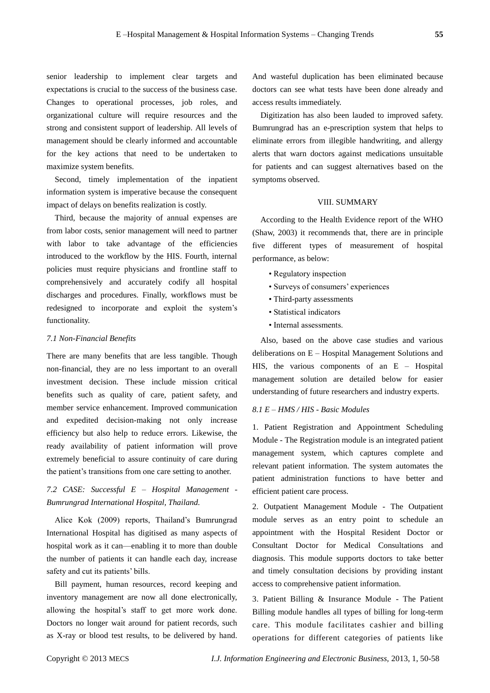senior leadership to implement clear targets and expectations is crucial to the success of the business case. Changes to operational processes, job roles, and organizational culture will require resources and the strong and consistent support of leadership. All levels of management should be clearly informed and accountable for the key actions that need to be undertaken to maximize system benefits.

Second, timely implementation of the inpatient information system is imperative because the consequent impact of delays on benefits realization is costly.

Third, because the majority of annual expenses are from labor costs, senior management will need to partner with labor to take advantage of the efficiencies introduced to the workflow by the HIS. Fourth, internal policies must require physicians and frontline staff to comprehensively and accurately codify all hospital discharges and procedures. Finally, workflows must be redesigned to incorporate and exploit the system's functionality.

#### *7.1 Non-Financial Benefits*

There are many benefits that are less tangible. Though non-financial, they are no less important to an overall investment decision. These include mission critical benefits such as quality of care, patient safety, and member service enhancement. Improved communication and expedited decision-making not only increase efficiency but also help to reduce errors. Likewise, the ready availability of patient information will prove extremely beneficial to assure continuity of care during the patient's transitions from one care setting to another.

# *7.2 CASE: Successful E – Hospital Management - Bumrungrad International Hospital, Thailand.*

Alice Kok (2009) reports, Thailand's Bumrungrad International Hospital has digitised as many aspects of hospital work as it can—enabling it to more than double the number of patients it can handle each day, increase safety and cut its patients' bills.

Bill payment, human resources, record keeping and inventory management are now all done electronically, allowing the hospital's staff to get more work done. Doctors no longer wait around for patient records, such as X-ray or blood test results, to be delivered by hand.

And wasteful duplication has been eliminated because doctors can see what tests have been done already and access results immediately.

Digitization has also been lauded to improved safety. Bumrungrad has an e-prescription system that helps to eliminate errors from illegible handwriting, and allergy alerts that warn doctors against medications unsuitable for patients and can suggest alternatives based on the symptoms observed.

# VIII. SUMMARY

According to the Health Evidence report of the WHO (Shaw, 2003) it recommends that, there are in principle five different types of measurement of hospital performance, as below:

- Regulatory inspection
- Surveys of consumers' experiences
- Third-party assessments
- Statistical indicators
- Internal assessments.

Also, based on the above case studies and various deliberations on E – Hospital Management Solutions and HIS, the various components of an E – Hospital management solution are detailed below for easier understanding of future researchers and industry experts.

# *8.1 E – HMS / HIS - Basic Modules*

1. Patient Registration and Appointment Scheduling Module - The Registration module is an integrated patient management system, which captures complete and relevant patient information. The system automates the patient administration functions to have better and efficient patient care process.

2. Outpatient Management Module - The Outpatient module serves as an entry point to schedule an appointment with the Hospital Resident Doctor or Consultant Doctor for Medical Consultations and diagnosis. This module supports doctors to take better and timely consultation decisions by providing instant access to comprehensive patient information.

3. Patient Billing & Insurance Module - The Patient Billing module handles all types of billing for long-term care. This module facilitates cashier and billing operations for different categories of patients like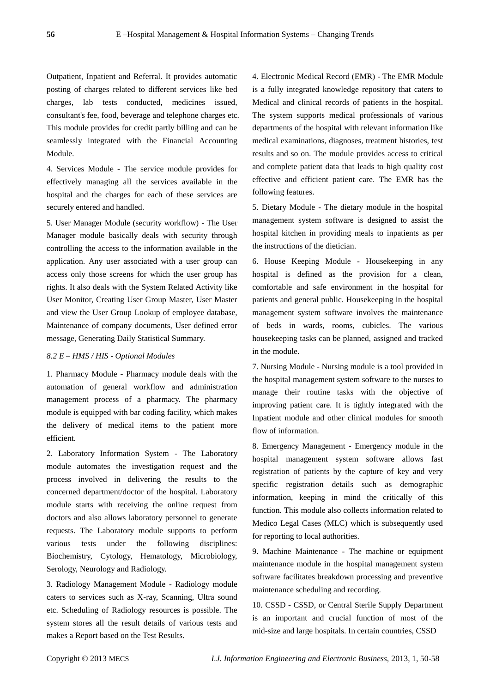Outpatient, Inpatient and Referral. It provides automatic posting of charges related to different services like bed charges, lab tests conducted, medicines issued, consultant's fee, food, beverage and telephone charges etc. This module provides for credit partly billing and can be seamlessly integrated with the Financial Accounting Module.

4. Services Module - The service module provides for effectively managing all the services available in the hospital and the charges for each of these services are securely entered and handled.

5. User Manager Module (security workflow) - The User Manager module basically deals with security through controlling the access to the information available in the application. Any user associated with a user group can access only those screens for which the user group has rights. It also deals with the System Related Activity like User Monitor, Creating User Group Master, User Master and view the User Group Lookup of employee database, Maintenance of company documents, User defined error message, Generating Daily Statistical Summary.

## *8.2 E – HMS / HIS - Optional Modules*

1. Pharmacy Module - Pharmacy module deals with the automation of general workflow and administration management process of a pharmacy. The pharmacy module is equipped with bar coding facility, which makes the delivery of medical items to the patient more efficient.

2. Laboratory Information System - The Laboratory module automates the investigation request and the process involved in delivering the results to the concerned department/doctor of the hospital. Laboratory module starts with receiving the online request from doctors and also allows laboratory personnel to generate requests. The Laboratory module supports to perform various tests under the following disciplines: Biochemistry, Cytology, Hematology, Microbiology, Serology, Neurology and Radiology.

3. Radiology Management Module - Radiology module caters to services such as X-ray, Scanning, Ultra sound etc. Scheduling of Radiology resources is possible. The system stores all the result details of various tests and makes a Report based on the Test Results.

4. Electronic Medical Record (EMR) - The EMR Module is a fully integrated knowledge repository that caters to Medical and clinical records of patients in the hospital. The system supports medical professionals of various departments of the hospital with relevant information like medical examinations, diagnoses, treatment histories, test results and so on. The module provides access to critical and complete patient data that leads to high quality cost effective and efficient patient care. The EMR has the following features.

5. Dietary Module - The dietary module in the hospital management system software is designed to assist the hospital kitchen in providing meals to inpatients as per the instructions of the dietician.

6. House Keeping Module - Housekeeping in any hospital is defined as the provision for a clean, comfortable and safe environment in the hospital for patients and general public. Housekeeping in the hospital management system software involves the maintenance of beds in wards, rooms, cubicles. The various housekeeping tasks can be planned, assigned and tracked in the module.

7. Nursing Module - Nursing module is a tool provided in the hospital management system software to the nurses to manage their routine tasks with the objective of improving patient care. It is tightly integrated with the Inpatient module and other clinical modules for smooth flow of information.

8. Emergency Management - Emergency module in the hospital management system software allows fast registration of patients by the capture of key and very specific registration details such as demographic information, keeping in mind the critically of this function. This module also collects information related to Medico Legal Cases (MLC) which is subsequently used for reporting to local authorities.

9. Machine Maintenance - The machine or equipment maintenance module in the hospital management system software facilitates breakdown processing and preventive maintenance scheduling and recording.

10. CSSD - CSSD, or Central Sterile Supply Department is an important and crucial function of most of the mid-size and large hospitals. In certain countries, CSSD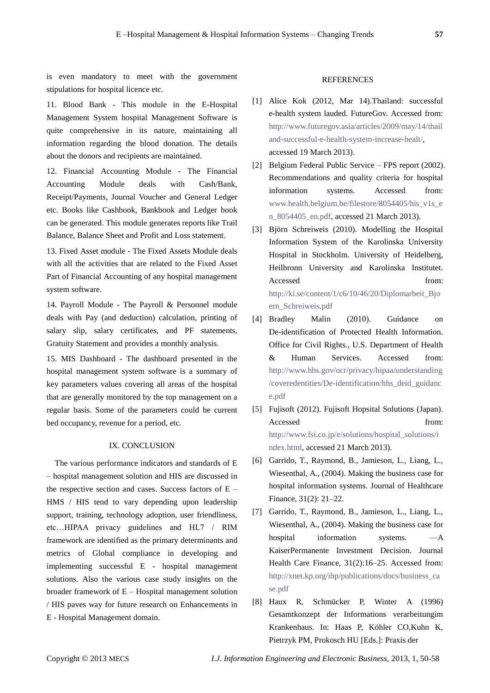is even mandatory to meet with the government stipulations for hospital licence etc.

11. Blood Bank - This module in the E-Hospital Management System hospital Management Software is quite comprehensive in its nature, maintaining all information regarding the blood donation. The details about the donors and recipients are maintained.

12. Financial Accounting Module - The Financial Accounting Module deals with Cash/Bank, Receipt/Payments, Journal Voucher and General Ledger etc. Books like Cashbook, Bankbook and Ledger book can be generated. This module generates reports like Trail Balance, Balance Sheet and Profit and Loss statement.

13. Fixed Asset module - The Fixed Assets Module deals with all the activities that are related to the Fixed Asset Part of Financial Accounting of any hospital management system software.

14. Payroll Module - The Payroll & Personnel module deals with Pay (and deduction) calculation, printing of salary slip, salary certificates, and PF statements, Gratuity Statement and provides a monthly analysis.

15. MIS Dashboard - The dashboard presented in the hospital management system software is a summary of key parameters values covering all areas of the hospital that are generally monitored by the top management on a regular basis. Some of the parameters could be current bed occupancy, revenue for a period, etc.

#### IX. CONCLUSION

The various performance indicators and standards of E – hospital management solution and HIS are discussed in the respective section and cases. Success factors of E – HMS / HIS tend to vary depending upon leadership support, training, technology adoption, user friendliness, etc…HIPAA privacy guidelines and HL7 / RIM framework are identified as the primary determinants and metrics of Global compliance in developing and implementing successful E - hospital management solutions. Also the various case study insights on the broader framework of E – Hospital management solution / HIS paves way for future research on Enhancements in E - Hospital Management domain.

#### REFERENCES

- [1] Alice Kok (2012, Mar 14).Thailand: successful e-health system lauded. FutureGov. Accessed from: [http://www.futuregov.asia/articles/2009/may/14/thail](http://www.futuregov.asia/articles/2009/may/14/thailand-successful-e-health-system-increase-healt/) [and-successful-e-health-system-increase-healt/,](http://www.futuregov.asia/articles/2009/may/14/thailand-successful-e-health-system-increase-healt/) accessed 19 March 2013).
- [2] Belgium Federal Public Service FPS report (2002). Recommendations and quality criteria for hospital information systems. Accessed from: [www.health.belgium.be/filestore/8054405/his\\_v1s\\_e](http://www.health.belgium.be/filestore/8054405/his_v1s_en_8054405_en.pdf) [n\\_8054405\\_en.pdf,](http://www.health.belgium.be/filestore/8054405/his_v1s_en_8054405_en.pdf) accessed 21 March 2013).
- [3] Björn Schreiweis (2010). Modelling the Hospital Information System of the Karolinska University Hospital in Stockholm. University of Heidelberg, Heilbronn University and Karolinska Institutet. Accessed from: [http://ki.se/content/1/c6/10/46/20/Diplomarbeit\\_Bjo](http://ki.se/content/1/c6/10/46/20/Diplomarbeit_Bjoern_Schreiweis.pdf) [ern\\_Schreiweis.pdf](http://ki.se/content/1/c6/10/46/20/Diplomarbeit_Bjoern_Schreiweis.pdf)
- [4] Bradley Malin (2010). Guidance on De-identification of Protected Health Information. Office for Civil Rights., U.S. Department of Health & Human Services. Accessed from: [http://www.hhs.gov/ocr/privacy/hipaa/understanding](http://www.hhs.gov/ocr/privacy/hipaa/understanding/coveredentities/De-identification/hhs_deid_guidance.pdf) [/coveredentities/De-identification/hhs\\_deid\\_guidanc](http://www.hhs.gov/ocr/privacy/hipaa/understanding/coveredentities/De-identification/hhs_deid_guidance.pdf) [e.pdf](http://www.hhs.gov/ocr/privacy/hipaa/understanding/coveredentities/De-identification/hhs_deid_guidance.pdf)
- [5] Fujisoft (2012). Fujisoft Hopsital Solutions (Japan). Accessed from: [http://www.fsi.co.jp/e/solutions/hospital\\_solutions/i](http://www.fsi.co.jp/e/solutions/hospital_solutions/index.html) [ndex.html,](http://www.fsi.co.jp/e/solutions/hospital_solutions/index.html) accessed 21 March 2013).
- [6] Garrido, T., Raymond, B., Jamieson, L., Liang, L., Wiesenthal, A., (2004). Making the business case for hospital information systems. Journal of Healthcare Finance, 31(2): 21–22.
- [7] Garrido, T., Raymond, B., Jamieson, L., Liang, L., Wiesenthal, A., (2004). Making the business case for hospital information systems. —A KaiserPermanente Investment Decision. Journal Health Care Finance, 31(2):16–25. Accessed from: [http://xnet.kp.org/ihp/publications/docs/business\\_ca](http://xnet.kp.org/ihp/publications/docs/business_case.pdf) [se.pdf](http://xnet.kp.org/ihp/publications/docs/business_case.pdf)
- [8] Haux R, Schmücker P, Winter A (1996) Gesamtkonzept der Informations verarbeitungim Krankenhaus. In: Haas P, Köhler CO,Kuhn K, Pietrzyk PM, Prokosch HU [Eds.]: Praxis der